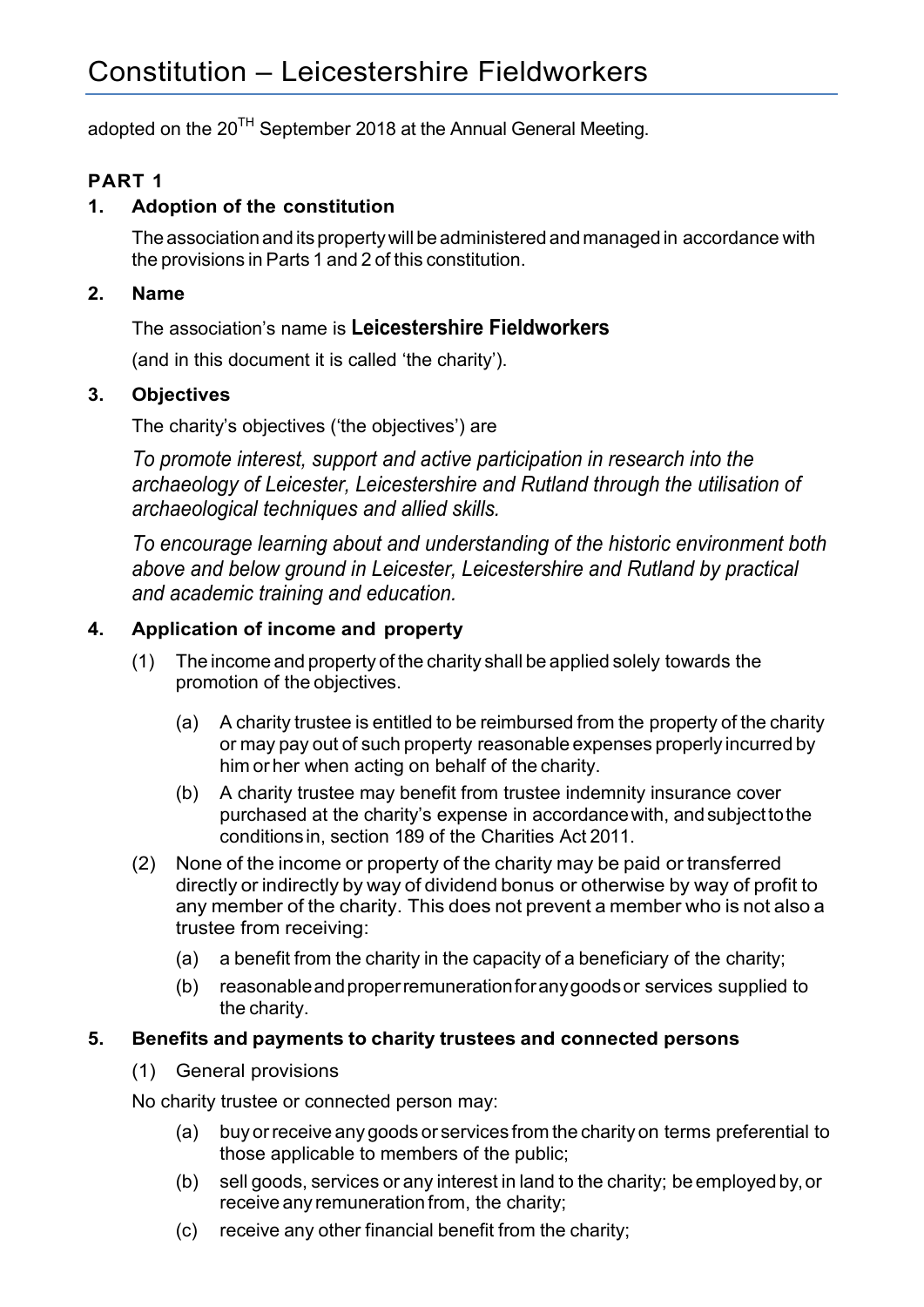adopted on the 20<sup>TH</sup> September 2018 at the Annual General Meeting.

## **PART 1**

### **1. Adoption of the constitution**

The association and its property will be administered and managed in accordance with the provisions in Parts 1 and 2 of this constitution.

### **2. Name**

The association's name is **Leicestershire Fieldworkers**

(and in this document it is called 'the charity').

### **3. Objectives**

The charity's objectives ('the objectives') are

*To promote interest, support and active participation in research into the archaeology of Leicester, Leicestershire and Rutland through the utilisation of archaeological techniques and allied skills.*

*To encourage learning about and understanding of the historic environment both above and below ground in Leicester, Leicestershire and Rutland by practical and academic training and education.*

### **4. Application of income and property**

- (1) The income and property of the charity shall be applied solely towards the promotion of the objectives.
	- (a) A charity trustee is entitled to be reimbursed from the property of the charity or may pay out of such property reasonable expenses properly incurred by him or her when acting on behalf of the charity.
	- (b) A charity trustee may benefit from trustee indemnity insurance cover purchased at the charity's expense in accordancewith, andsubjecttothe conditionsin, section 189 of the Charities Act 2011.
- (2) None of the income or property of the charity may be paid or transferred directly or indirectly by way of dividend bonus or otherwise by way of profit to any member of the charity. This does not prevent a member who is not also a trustee from receiving:
	- (a) a benefit from the charity in the capacity of a beneficiary of the charity;
	- (b) reasonableandproperremunerationforanygoodsor services supplied to the charity.

### **5. Benefits and payments to charity trustees and connected persons**

(1) General provisions

No charity trustee or connected person may:

- (a) buy orreceive any goods or services from the charity on terms preferential to those applicable to members of the public;
- (b) sell goods, services or any interest in land to the charity; be employed by,or receive any remuneration from, the charity;
- (c) receive any other financial benefit from the charity;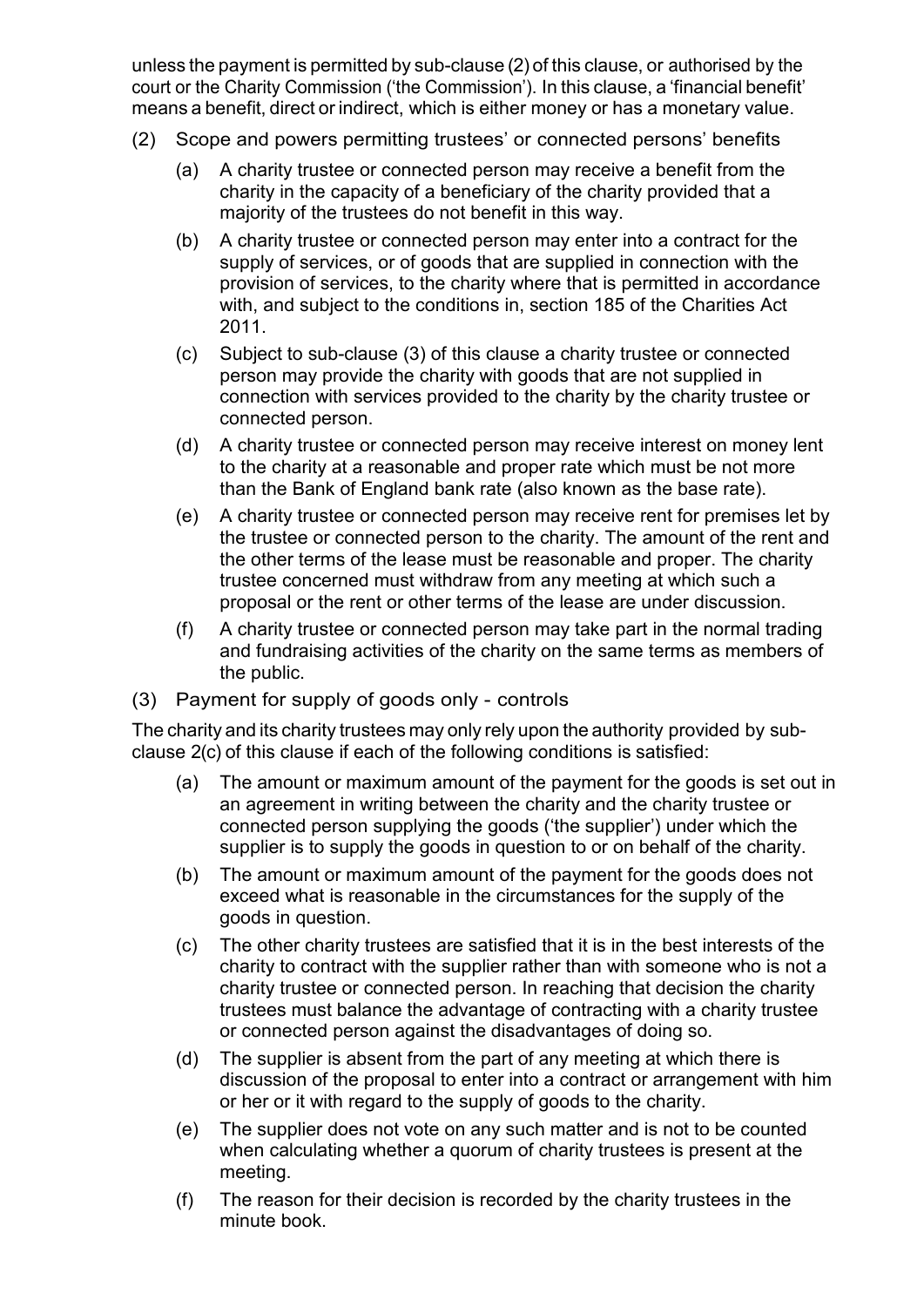unless the payment is permitted by sub-clause (2) of this clause, or authorised by the court or the Charity Commission ('the Commission'). In this clause, a 'financial benefit' means a benefit, direct or indirect, which is either money or has a monetary value.

- (2) Scope and powers permitting trustees' or connected persons' benefits
	- (a) A charity trustee or connected person may receive a benefit from the charity in the capacity of a beneficiary of the charity provided that a majority of the trustees do not benefit in this way.
	- (b) A charity trustee or connected person may enter into a contract for the supply of services, or of goods that are supplied in connection with the provision of services, to the charity where that is permitted in accordance with, and subject to the conditions in, section 185 of the Charities Act 2011.
	- (c) Subject to sub-clause (3) of this clause a charity trustee or connected person may provide the charity with goods that are not supplied in connection with services provided to the charity by the charity trustee or connected person.
	- (d) A charity trustee or connected person may receive interest on money lent to the charity at a reasonable and proper rate which must be not more than the Bank of England bank rate (also known as the base rate).
	- (e) A charity trustee or connected person may receive rent for premises let by the trustee or connected person to the charity. The amount of the rent and the other terms of the lease must be reasonable and proper. The charity trustee concerned must withdraw from any meeting at which such a proposal or the rent or other terms of the lease are under discussion.
	- (f) A charity trustee or connected person may take part in the normal trading and fundraising activities of the charity on the same terms as members of the public.
- (3) Payment for supply of goods only controls

The charity and its charity trustees may only rely upon the authority provided by subclause 2(c) of this clause if each of the following conditions is satisfied:

- (a) The amount or maximum amount of the payment for the goods is set out in an agreement in writing between the charity and the charity trustee or connected person supplying the goods ('the supplier') under which the supplier is to supply the goods in question to or on behalf of the charity.
- (b) The amount or maximum amount of the payment for the goods does not exceed what is reasonable in the circumstances for the supply of the goods in question.
- (c) The other charity trustees are satisfied that it is in the best interests of the charity to contract with the supplier rather than with someone who is not a charity trustee or connected person. In reaching that decision the charity trustees must balance the advantage of contracting with a charity trustee or connected person against the disadvantages of doing so.
- (d) The supplier is absent from the part of any meeting at which there is discussion of the proposal to enter into a contract or arrangement with him or her or it with regard to the supply of goods to the charity.
- (e) The supplier does not vote on any such matter and is not to be counted when calculating whether a quorum of charity trustees is present at the meeting.
- (f) The reason for their decision is recorded by the charity trustees in the minute book.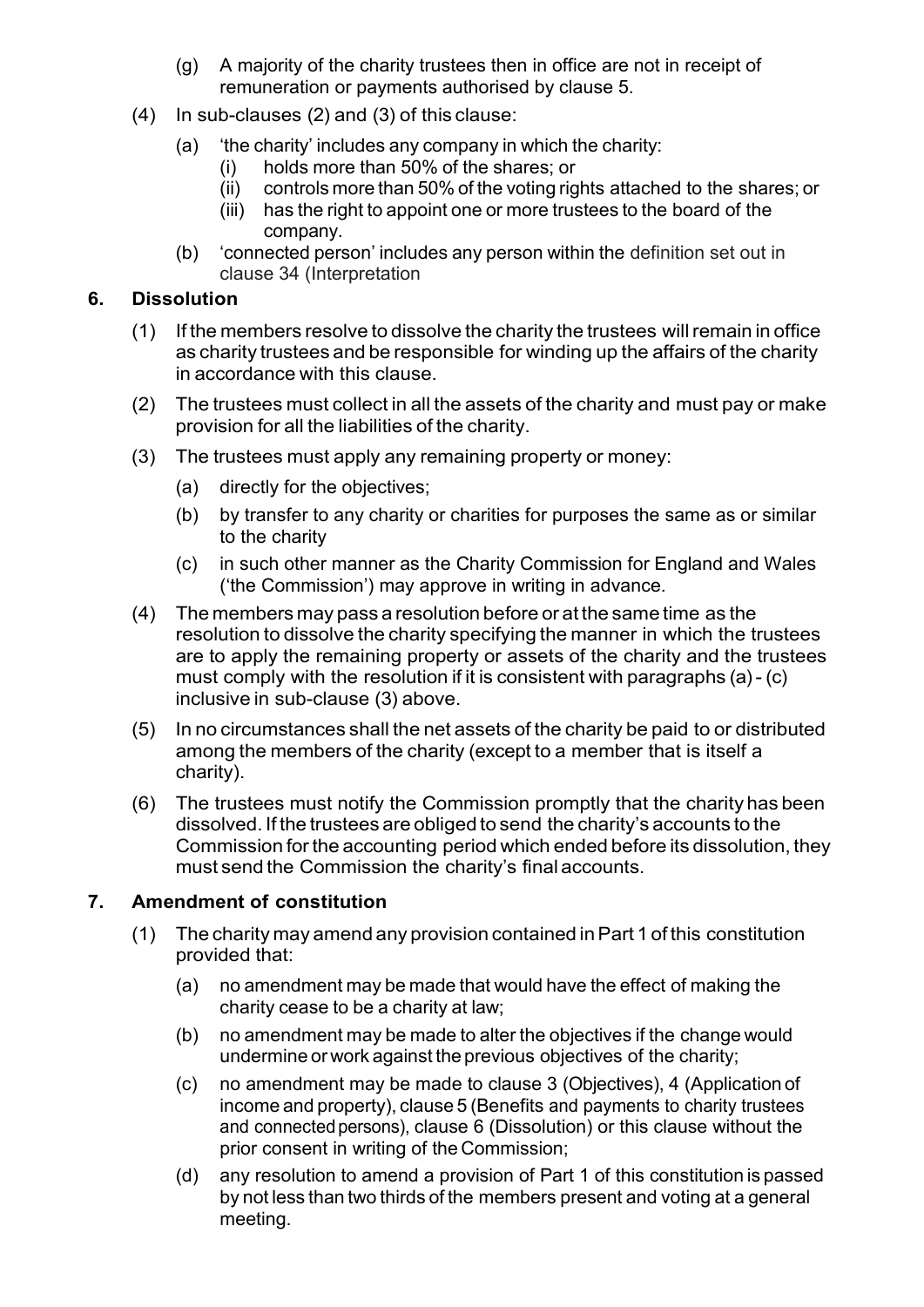- (g) A majority of the charity trustees then in office are not in receipt of remuneration or payments authorised by clause 5.
- (4) In sub-clauses (2) and (3) of this clause:
	- (a) 'the charity' includes any company in which the charity:
		- (i) holds more than 50% of the shares; or
		- (ii) controls more than 50% of the voting rights attached to the shares; or
		- (iii) has the right to appoint one or more trustees to the board of the company.
	- (b) 'connected person' includes any person within the definition set out in clause 34 (Interpretation

## **6. Dissolution**

- (1) If the members resolve to dissolve the charity the trustees willremain in office as charity trustees and be responsible for winding up the affairs of the charity in accordance with this clause.
- (2) The trustees must collect in all the assets of the charity and must pay or make provision for all the liabilities of the charity.
- (3) The trustees must apply any remaining property or money:
	- (a) directly for the objectives;
	- (b) by transfer to any charity or charities for purposes the same as or similar to the charity
	- (c) in such other manner as the Charity Commission for England and Wales ('the Commission') may approve in writing in advance.
- (4) The members may pass a resolution before or at the same time as the resolution to dissolve the charity specifying the manner in which the trustees are to apply the remaining property or assets of the charity and the trustees must comply with the resolution if it is consistent with paragraphs (a)- (c) inclusive in sub-clause (3) above.
- (5) In no circumstances shall the net assets of the charity be paid to or distributed among the members of the charity (except to a member that is itself a charity).
- (6) The trustees must notify the Commission promptly that the charity has been dissolved. If the trustees are obliged to send the charity's accounts to the Commission forthe accounting period which ended before its dissolution, they must send the Commission the charity's final accounts.

## **7. Amendment of constitution**

- (1) The charity may amend any provision contained inPart 1 of this constitution provided that:
	- (a) no amendment may be made that would have the effect of making the charity cease to be a charity at law;
	- (b) no amendment may be made to alter the objectives if the change would undermine or work against the previous objectives of the charity;
	- (c) no amendment may be made to clause 3 (Objectives), 4 (Application of income and property), clause 5 (Benefits and payments to charity trustees and connectedpersons), clause 6 (Dissolution) or this clause without the prior consent in writing of the Commission;
	- (d) any resolution to amend a provision of Part 1 of this constitution is passed by not less than two thirds of the members present and voting at a general meeting.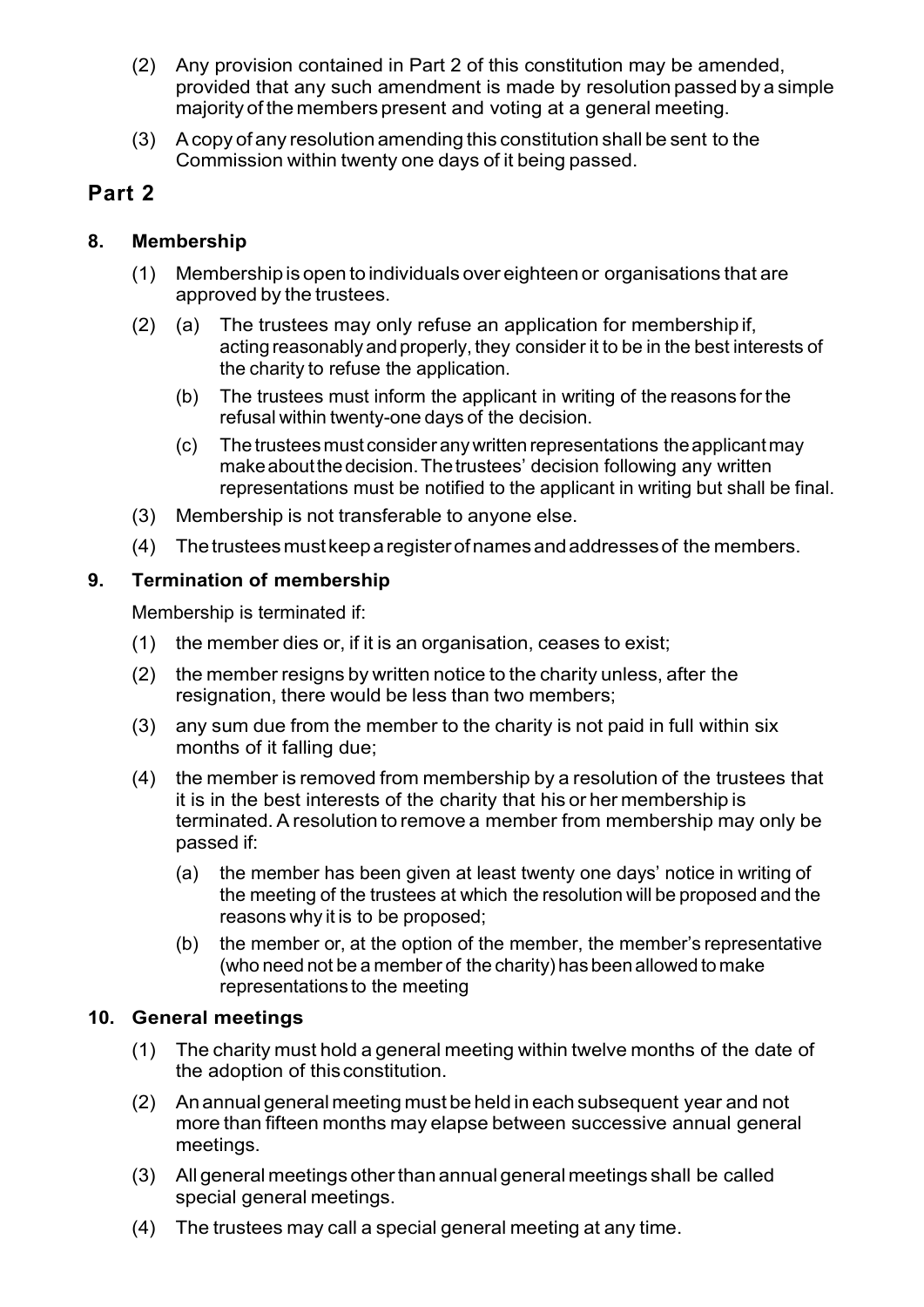- (2) Any provision contained in Part 2 of this constitution may be amended, provided that any such amendment is made by resolution passed by a simple majority of the members present and voting at a general meeting.
- (3) Acopy of any resolution amending this constitution shall be sent to the Commission within twenty one days of it being passed.

# **Part 2**

## **8. Membership**

- (1) Membership is open to individuals over eighteen or organisations that are approved by the trustees.
- (2) (a) The trustees may only refuse an application for membership if, acting reasonably and properly, they consider it to be in the best interests of the charity to refuse the application.
	- (b) The trustees must inform the applicant in writing of the reasons for the refusal within twenty-one days of the decision.
	- (c) The trusteesmust consider anywritten representations theapplicantmay make about the decision. The trustees' decision following any written representations must be notified to the applicant in writing but shall be final.
- (3) Membership is not transferable to anyone else.
- (4) Thetrusteesmustkeeparegisterofnamesandaddressesof the members.

## **9. Termination of membership**

Membership is terminated if:

- (1) the member dies or, if it is an organisation, ceases to exist;
- (2) the member resigns by written notice to the charity unless, after the resignation, there would be less than two members;
- (3) any sum due from the member to the charity is not paid in full within six months of it falling due;
- (4) the member is removed from membership by a resolution of the trustees that it is in the best interests of the charity that his or her membership is terminated. Aresolution to remove a member from membership may only be passed if:
	- (a) the member has been given at least twenty one days' notice in writing of the meeting of the trustees at which the resolution will be proposed and the reasons why it is to be proposed;
	- (b) the member or, at the option of the member, the member's representative (who need not be a member of the charity) has been allowed to make representations to the meeting

### **10. General meetings**

- (1) The charity must hold a general meeting within twelve months of the date of the adoption of thisconstitution.
- (2) An annual general meeting must be held in each subsequent year and not more than fifteen months may elapse between successive annual general meetings.
- (3) All general meetings otherthan annual general meetings shall be called special general meetings.
- (4) The trustees may call a special general meeting at any time.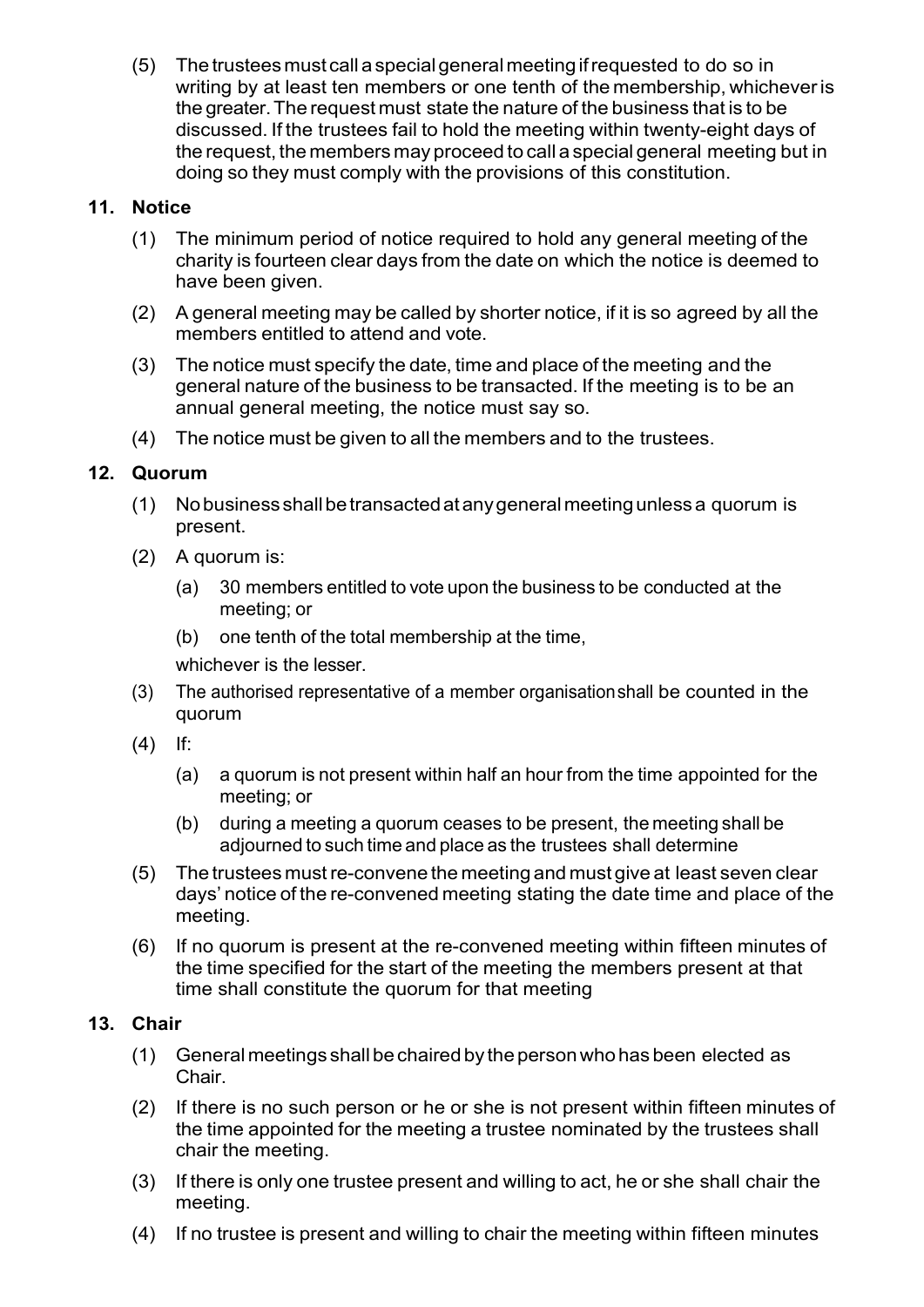(5) The trustees must call aspecial general meeting ifrequested to do so in writing by at least ten members or one tenth of the membership, whicheveris the greater.The request must state the nature of the business that is to be discussed. If the trustees fail to hold the meeting within twenty-eight days of the request, the members may proceed to call a special general meeting but in doing so they must comply with the provisions of this constitution.

## **11. Notice**

- (1) The minimum period of notice required to hold any general meeting of the charity is fourteen clear days from the date on which the notice is deemed to have been given.
- (2) A general meeting may be called by shorter notice, if it is so agreed by all the members entitled to attend and vote.
- (3) The notice must specify the date, time and place of the meeting and the general nature of the business to be transacted. If the meeting is to be an annual general meeting, the notice must say so.
- (4) The notice must be given to all the members and to the trustees.

## **12. Quorum**

- (1) Nobusiness shallbetransactedatanygeneralmeetingunlessa quorum is present.
- (2) A quorum is:
	- (a) 30 members entitled to vote upon the business to be conducted at the meeting; or
	- (b) one tenth of the total membership at the time,

whichever is the lesser.

- (3) The authorised representative of a member organisationshall be counted in the quorum
- (4) If:
	- (a) a quorum is not present within half an hour from the time appointed for the meeting; or
	- (b) during a meeting a quorum ceases to be present, the meeting shall be adjourned to such time and place as the trustees shall determine
- (5) The trustees mustre-convene the meeting and must give at least seven clear days' notice of the re-convened meeting stating the date time and place of the meeting.
- (6) If no quorum is present at the re-convened meeting within fifteen minutes of the time specified for the start of the meeting the members present at that time shall constitute the quorum for that meeting

## **13. Chair**

- (1) General meetings shallbe chaired by the personwho has been elected as Chair.
- (2) If there is no such person or he or she is not present within fifteen minutes of the time appointed for the meeting a trustee nominated by the trustees shall chair the meeting.
- (3) If there is only one trustee present and willing to act, he or she shall chair the meeting.
- (4) If no trustee is present and willing to chair the meeting within fifteen minutes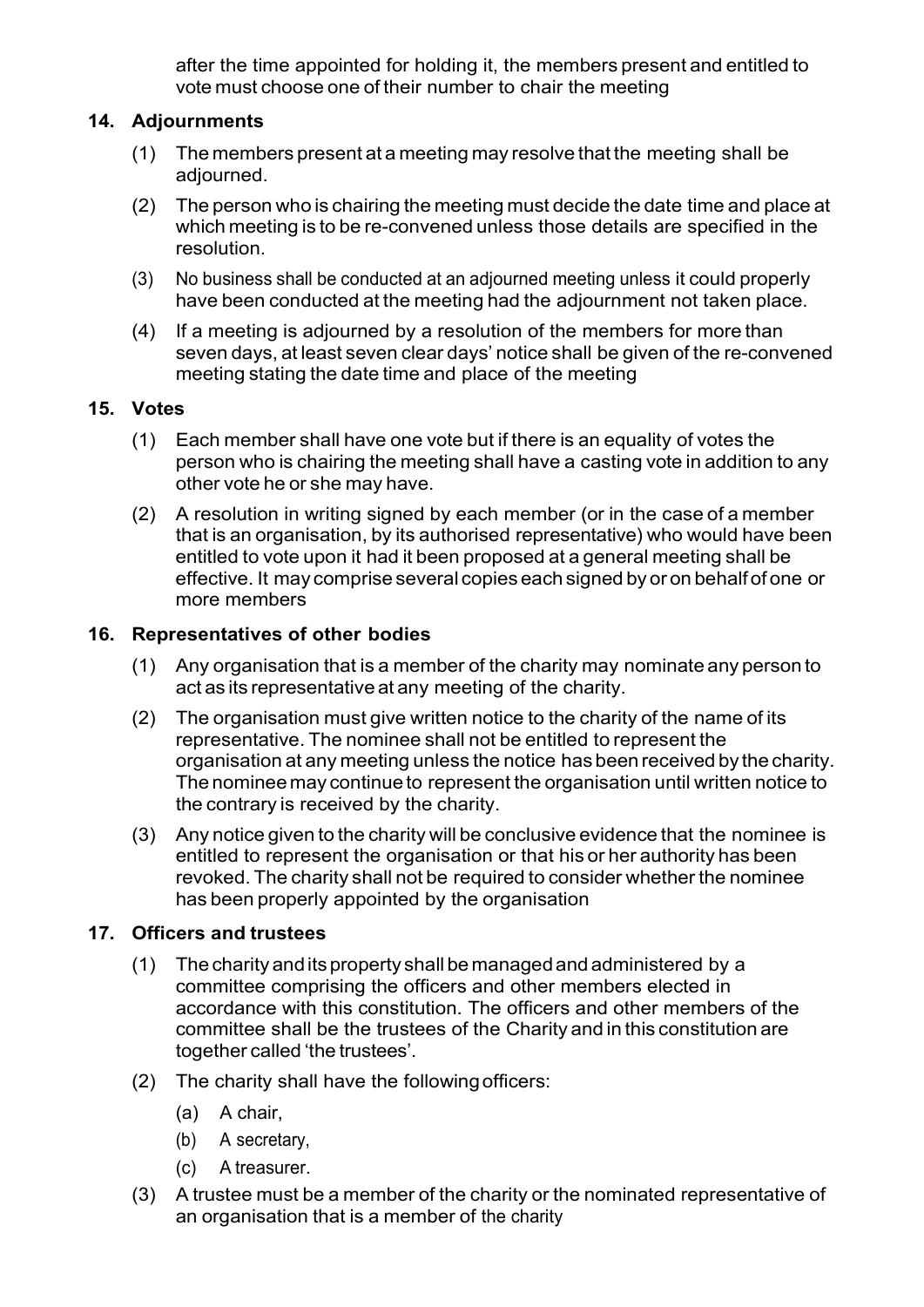after the time appointed for holding it, the members present and entitled to vote must choose one of their number to chair the meeting

### **14. Adjournments**

- (1) The members present at a meeting may resolve that the meeting shall be adjourned.
- (2) The person who is chairing the meeting must decide the date time and place at which meeting is to be re-convened unless those details are specified in the resolution.
- (3) No business shall be conducted at an adjourned meeting unless it could properly have been conducted at the meeting had the adjournment not taken place.
- (4) If a meeting is adjourned by a resolution of the members for more than seven days, at least seven clear days' notice shall be given of the re-convened meeting stating the date time and place of the meeting

#### **15. Votes**

- (1) Each member shall have one vote but if there is an equality of votes the person who is chairing the meeting shall have a casting vote in addition to any other vote he or she may have.
- (2) A resolution in writing signed by each member (or in the case of a member that is an organisation, by its authorised representative) who would have been entitled to vote upon it had it been proposed at a general meeting shall be effective. It may comprise several copies each signed by or on behalf of one or more members

### **16. Representatives of other bodies**

- (1) Any organisation that is a member of the charity may nominate any person to act as its representative at any meeting of the charity.
- (2) The organisation must give written notice to the charity of the name of its representative. The nominee shall not be entitled to represent the organisation at any meeting unless the notice has been received by the charity. The nominee may continue to represent the organisation until written notice to the contrary is received by the charity.
- (3) Any notice given to the charity will be conclusive evidence that the nominee is entitled to represent the organisation or that his or her authority has been revoked. The charity shall not be required to consider whether the nominee has been properly appointed by the organisation

### **17. Officers and trustees**

- (1) The charity andits property shall be managedand administered by a committee comprising the officers and other members elected in accordance with this constitution. The officers and other members of the committee shall be the trustees of the Charity and in this constitution are together called 'the trustees'.
- (2) The charity shall have the followingofficers:
	- (a) A chair,
	- (b) A secretary,
	- (c) A treasurer.
- (3) A trustee must be a member of the charity or the nominated representative of an organisation that is a member of the charity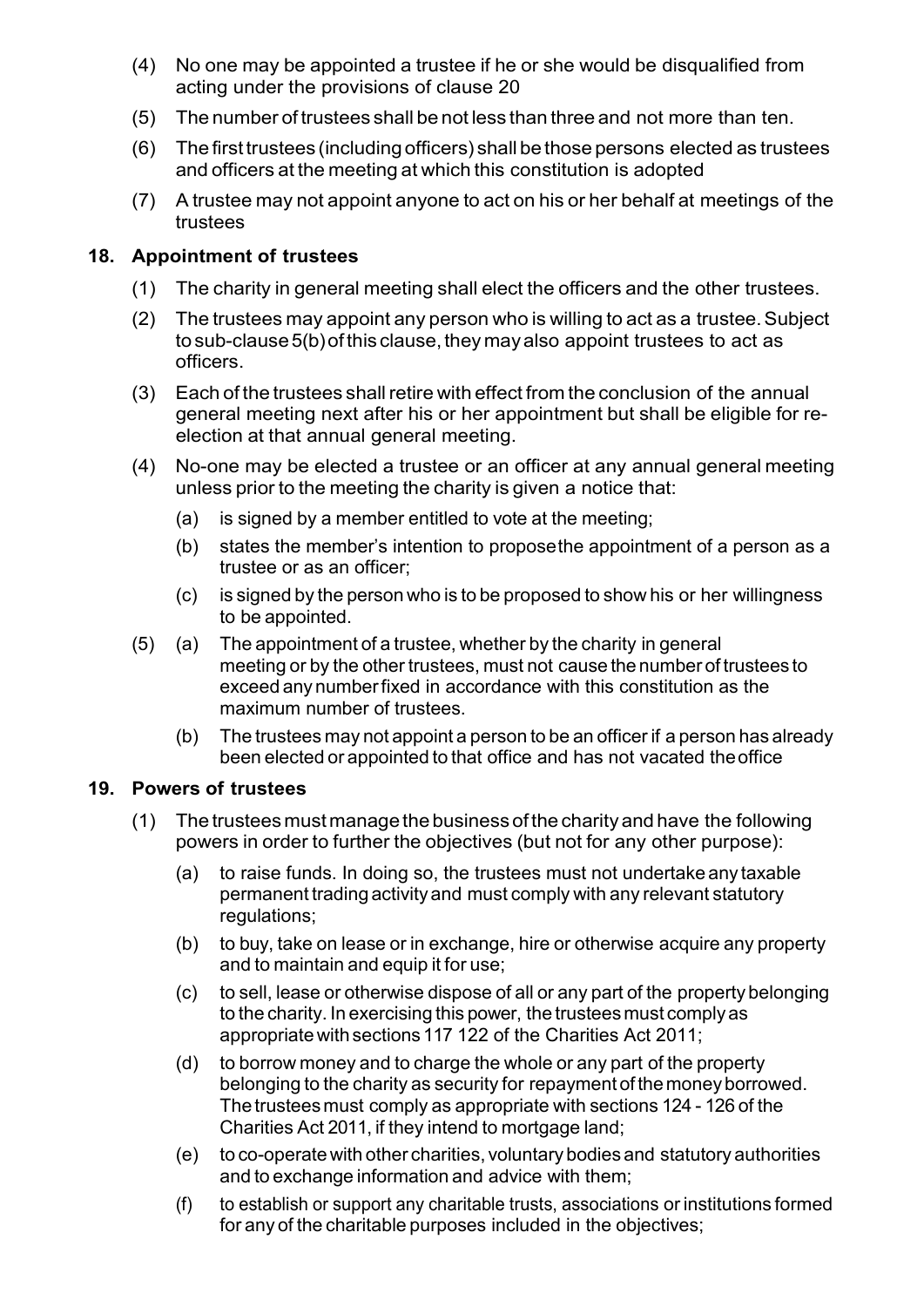- (4) No one may be appointed a trustee if he or she would be disqualified from acting under the provisions of clause 20
- (5) The number of trustees shall be not less than three and not more than ten.
- (6) The firsttrustees (including officers) shall be those persons elected as trustees and officers at the meeting at which this constitution is adopted
- (7) A trustee may not appoint anyone to act on his or her behalf at meetings of the trustees

### **18. Appointment of trustees**

- (1) The charity in general meeting shall elect the officers and the other trustees.
- (2) The trustees may appoint any person who is willing to act as a trustee.Subject to sub-clause 5(b) of this clause, they may also appoint trustees to act as officers.
- (3) Each of the trustees shall retire with effect from the conclusion of the annual general meeting next after his or her appointment but shall be eligible for reelection at that annual general meeting.
- (4) No-one may be elected a trustee or an officer at any annual general meeting unless prior to the meeting the charity is given a notice that:
	- (a) is signed by a member entitled to vote at the meeting;
	- (b) states the member's intention to proposethe appointment of a person as a trustee or as an officer;
	- (c) is signed by the person who is to be proposed to show his or her willingness to be appointed.
- (5) (a) The appointment of a trustee, whether by the charity in general meeting or by the other trustees, must not cause the number of trustees to exceed any numberfixed in accordance with this constitution as the maximum number of trustees.
	- (b) The trustees may not appoint a person to be an officer if a person has already been elected or appointed to that office and has not vacated theoffice

#### **19. Powers of trustees**

- (1) The trustees must managethe business of the charity and have the following powers in order to further the objectives (but not for any other purpose):
	- (a) to raise funds. In doing so, the trustees must not undertake any taxable permanent trading activity and must comply with any relevant statutory regulations:
	- (b) to buy, take on lease or in exchange, hire or otherwise acquire any property and to maintain and equip it for use;
	- (c) to sell, lease or otherwise dispose of all or any part of the property belonging to the charity. In exercising this power, the trustees must complyas appropriatewith sections 117 122 of the Charities Act 2011;
	- (d) to borrow money and to charge the whole or any part of the property belonging to the charity as security for repayment of themoneyborrowed. The trusteesmust comply as appropriate with sections 124 - 126 of the Charities Act 2011, if they intend to mortgage land;
	- (e) to co-operatewith other charities, voluntary bodies and statutory authorities and to exchange information and advice with them;
	- (f) to establish or support any charitable trusts, associations or institutions formed for any of the charitable purposes included in the objectives;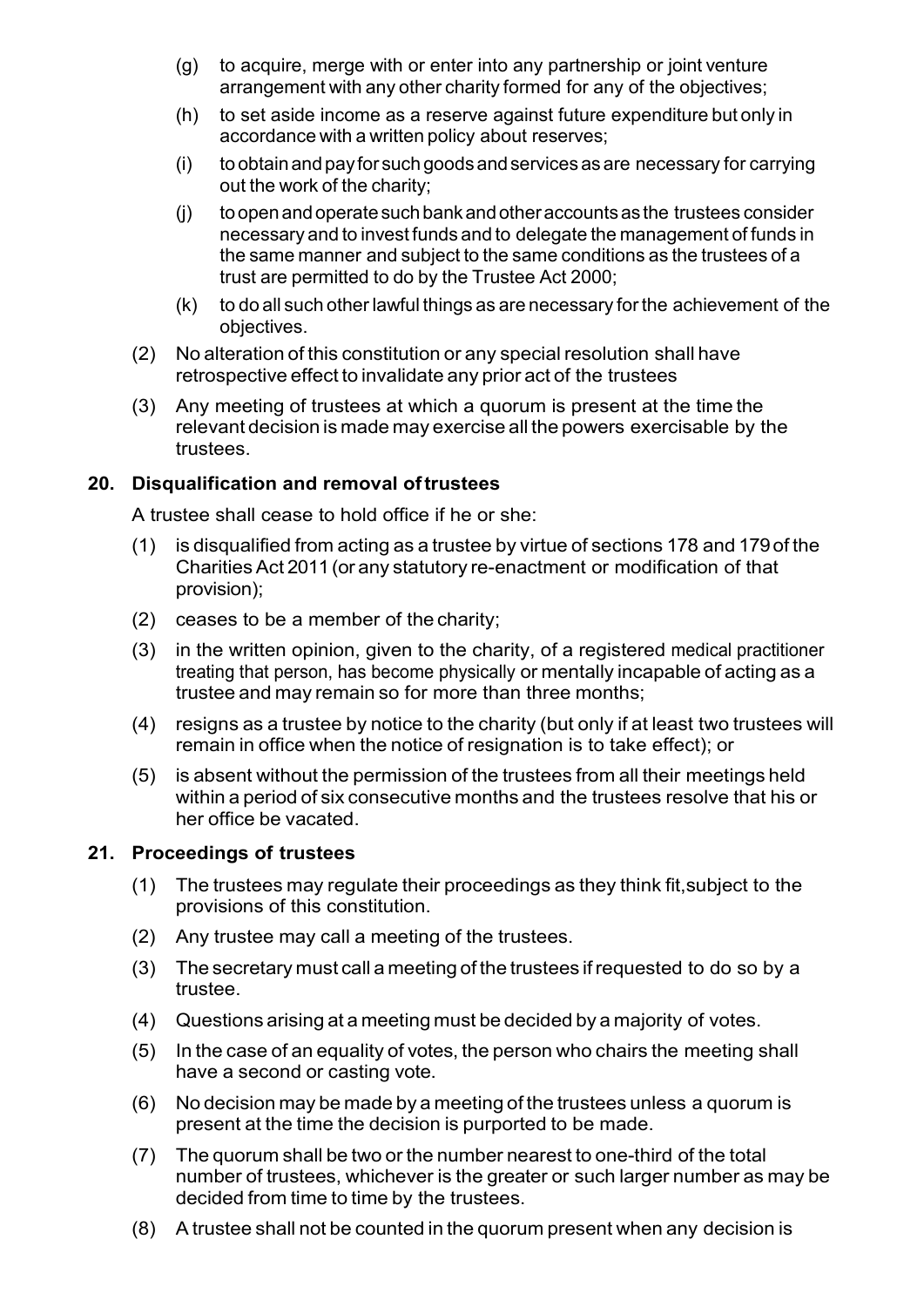- (g) to acquire, merge with or enter into any partnership or joint venture arrangement with any other charity formed for any of the objectives;
- (h) to set aside income as a reserve against future expenditure but only in accordance with a written policy about reserves;
- $(i)$  to obtain and pay for such goods and services as are necessary for carrying out the work of the charity;
- (j) toopenandoperatesuchbankandotheraccountsas the trustees consider necessary and to invest funds and to delegate the management of funds in the same manner and subject to the same conditions as the trustees of a trust are permitted to do by the Trustee Act 2000;
- (k) to do all such other lawful things as are necessary for the achievement of the objectives.
- (2) No alteration of this constitution or any special resolution shall have retrospective effect to invalidate any prior act of the trustees
- (3) Any meeting of trustees at which a quorum is present at the time the relevant decision is made may exercise all the powers exercisable by the trustees.

## **20. Disqualification and removal oftrustees**

A trustee shall cease to hold office if he or she:

- (1) is disqualified from acting as a trustee by virtue of sections 178 and 179of the CharitiesAct 2011(or any statutory re-enactment or modification of that provision);
- (2) ceases to be a member of the charity;
- (3) in the written opinion, given to the charity, of a registered medical practitioner treating that person, has become physically or mentally incapable of acting as a trustee and may remain so for more than three months;
- (4) resigns as a trustee by notice to the charity (but only if at least two trustees will remain in office when the notice of resignation is to take effect); or
- (5) is absent without the permission of the trustees from all their meetings held within a period of six consecutive months and the trustees resolve that his or her office be vacated.

## **21. Proceedings of trustees**

- (1) The trustees may regulate their proceedings as they think fit,subject to the provisions of this constitution.
- (2) Any trustee may call a meeting of the trustees.
- (3) The secretary must call a meeting of the trustees ifrequested to do so by a trustee.
- (4) Questions arising at a meeting must be decided by a majority of votes.
- (5) In the case of an equality of votes, the person who chairs the meeting shall have a second or casting vote.
- (6) No decision may be made by a meeting of the trustees unless a quorum is present at the time the decision is purported to be made.
- (7) The quorum shall be two or the number nearest to one-third of the total number of trustees, whichever is the greater or such larger number as may be decided from time to time by the trustees.
- (8) A trustee shall not be counted in the quorum present when any decision is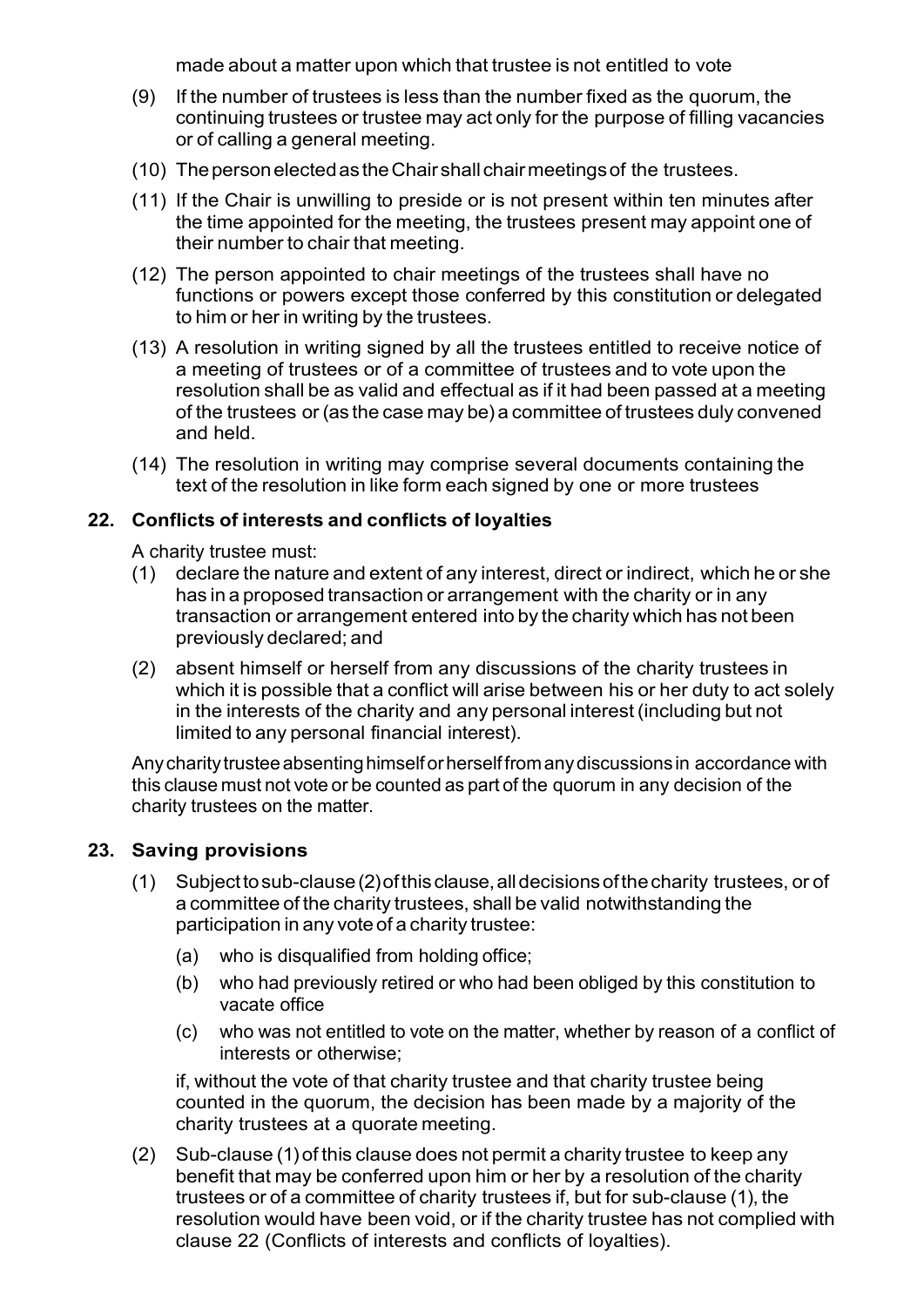made about a matter upon which that trustee is not entitled to vote

- (9) If the number of trustees is less than the number fixed as the quorum, the continuing trustees or trustee may act only for the purpose of filling vacancies or of calling a general meeting.
- (10) ThepersonelectedastheChair shallchairmeetingsof the trustees.
- (11) If the Chair is unwilling to preside or is not present within ten minutes after the time appointed for the meeting, the trustees present may appoint one of their number to chair that meeting.
- (12) The person appointed to chair meetings of the trustees shall have no functions or powers except those conferred by this constitution or delegated to him or her in writing by the trustees.
- (13) A resolution in writing signed by all the trustees entitled to receive notice of a meeting of trustees or of a committee of trustees and to vote upon the resolution shall be as valid and effectual as if it had been passed at a meeting of the trustees or (as the case may be) a committee of trustees duly convened and held.
- (14) The resolution in writing may comprise several documents containing the text of the resolution in like form each signed by one or more trustees

### **22. Conflicts of interests and conflicts of loyalties**

A charity trustee must:

- (1) declare the nature and extent of any interest, direct or indirect, which he or she has in a proposed transaction or arrangement with the charity or in any transaction or arrangement entered into by the charity which has not been previously declared; and
- (2) absent himself or herself from any discussions of the charity trustees in which it is possible that a conflict will arise between his or her duty to act solely in the interests of the charity and any personal interest (including but not limited to any personal financial interest).

Any charity trustee absenting himself or herselffrom any discussions in accordance with this clause must not vote or be counted as part of the quorum in any decision of the charity trustees on the matter.

### **23. Saving provisions**

- (1) Subjecttosub-clause(2)ofthisclause,alldecisionsofthecharity trustees, or of a committee of the charity trustees, shall be valid notwithstanding the participation in any vote of a charity trustee:
	- (a) who is disqualified from holding office;
	- (b) who had previously retired or who had been obliged by this constitution to vacate office
	- (c) who was not entitled to vote on the matter, whether by reason of a conflict of interests or otherwise;

if, without the vote of that charity trustee and that charity trustee being counted in the quorum, the decision has been made by a majority of the charity trustees at a quorate meeting.

(2) Sub-clause (1)of this clause does not permit a charity trustee to keep any benefit that may be conferred upon him or her by a resolution of the charity trustees or of a committee of charity trustees if, but for sub-clause (1), the resolution would have been void, or if the charity trustee has not complied with clause 22 (Conflicts of interests and conflicts of loyalties).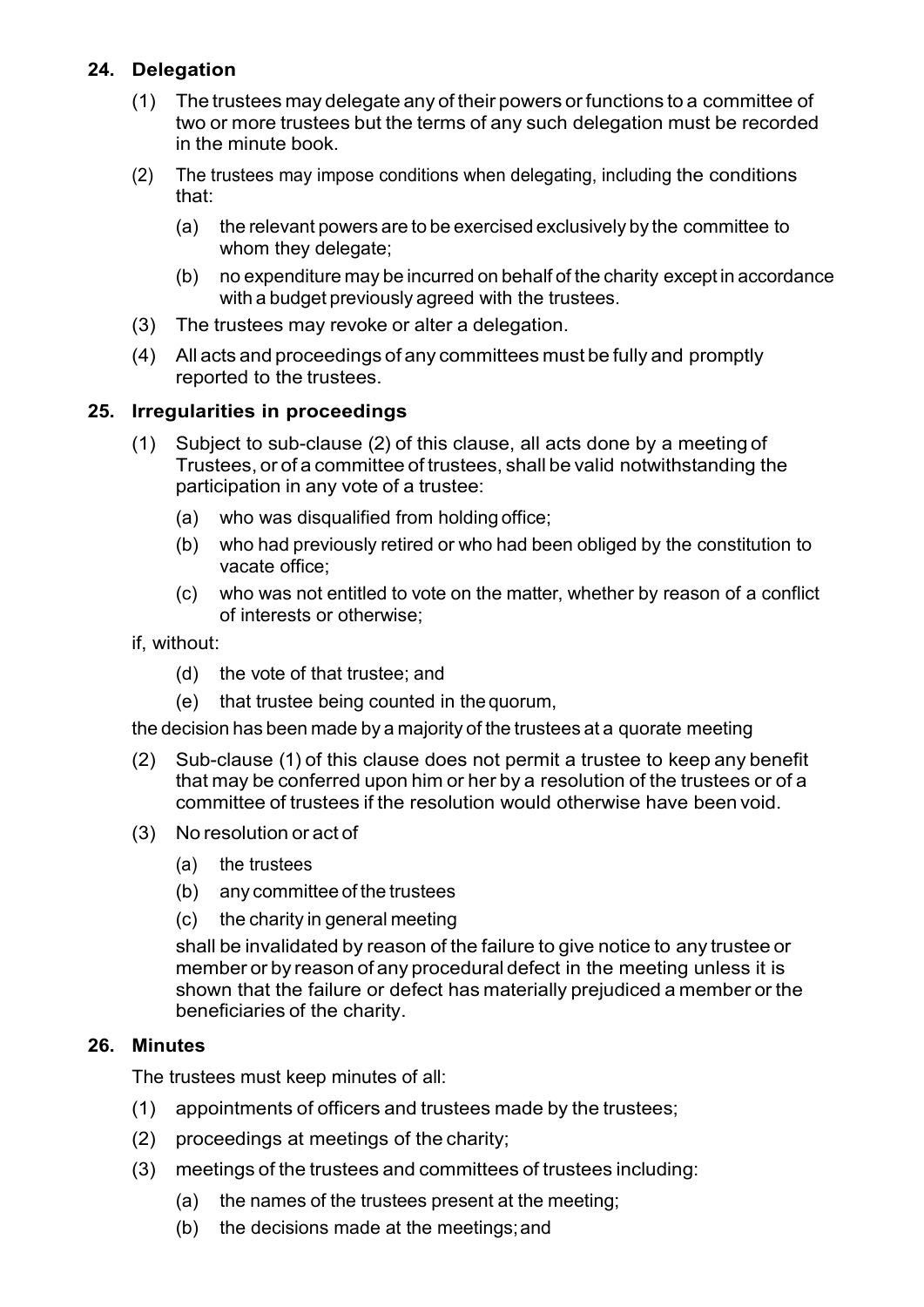## **24. Delegation**

- (1) The trustees may delegate any of their powers orfunctions to a committee of two or more trustees but the terms of any such delegation must be recorded in the minute book.
- (2) The trustees may impose conditions when delegating, including the conditions that:
	- (a) the relevant powers are to be exercised exclusively by the committee to whom they delegate;
	- (b) no expenditure may be incurred on behalf of the charity except in accordance with a budget previously agreed with the trustees.
- (3) The trustees may revoke or alter a delegation.
- (4) All acts and proceedings of any committees must be fully and promptly reported to the trustees.

### **25. Irregularities in proceedings**

- (1) Subject to sub-clause (2) of this clause, all acts done by a meeting of Trustees, or of a committee of trustees, shall be valid notwithstanding the participation in any vote of a trustee:
	- (a) who was disqualified from holding office;
	- (b) who had previously retired or who had been obliged by the constitution to vacate office;
	- (c) who was not entitled to vote on the matter, whether by reason of a conflict of interests or otherwise;
- if, without:
	- (d) the vote of that trustee; and
	- (e) that trustee being counted in the quorum,

the decision has been made by a majority of the trustees at a quorate meeting

- (2) Sub-clause (1) of this clause does not permit a trustee to keep any benefit that may be conferred upon him or her by a resolution of the trustees or of a committee of trustees if the resolution would otherwise have been void.
- (3) No resolution or act of
	- (a) the trustees
	- (b) any committee of the trustees
	- (c) the charity in general meeting

shall be invalidated by reason of the failure to give notice to any trustee or member or by reason of any procedural defect in the meeting unless it is shown that the failure or defect has materially prejudiced a member or the beneficiaries of the charity.

### **26. Minutes**

The trustees must keep minutes of all:

- (1) appointments of officers and trustees made by the trustees;
- (2) proceedings at meetings of the charity;
- (3) meetings of the trustees and committees of trustees including:
	- (a) the names of the trustees present at the meeting;
	- (b) the decisions made at the meetings;and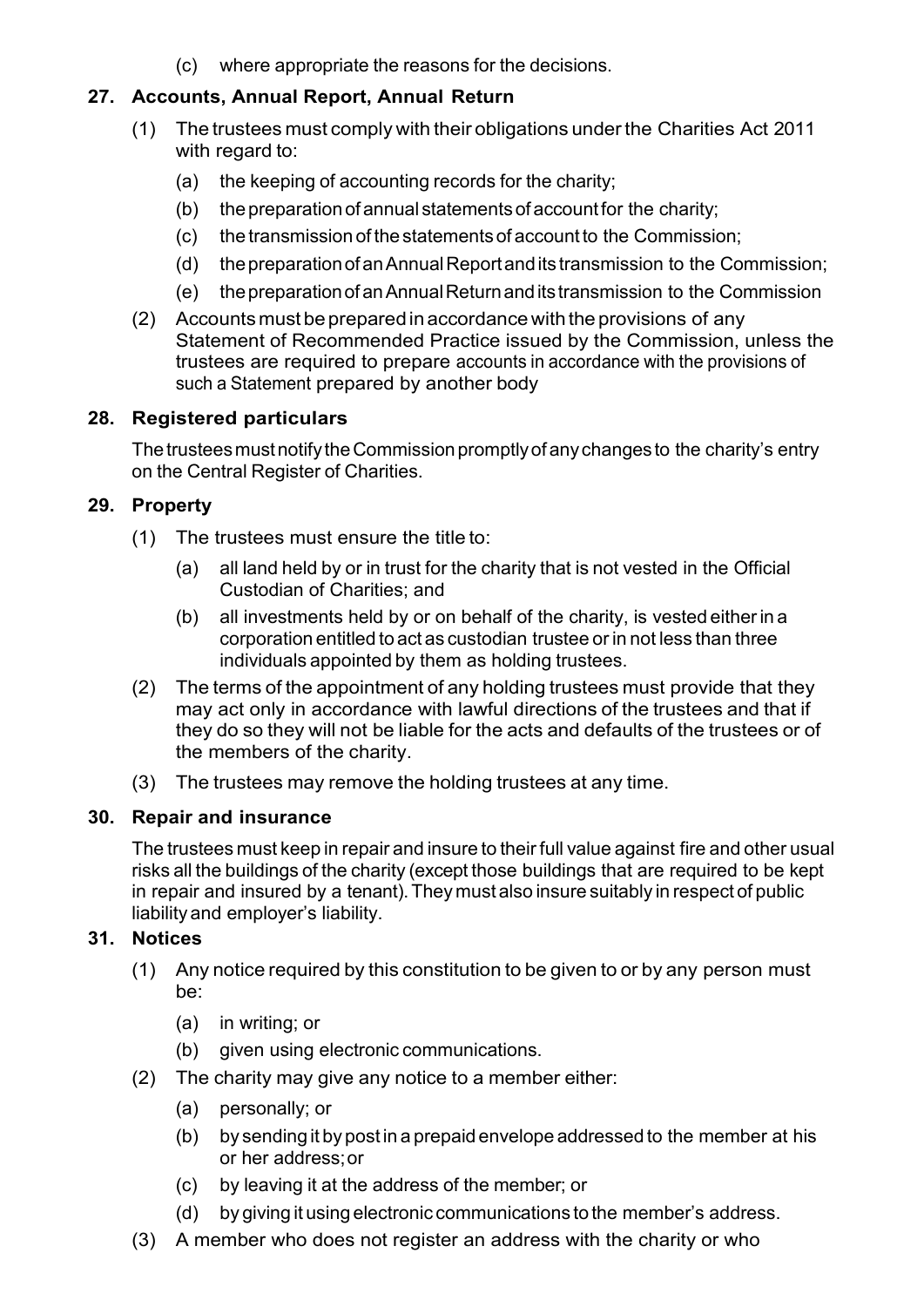(c) where appropriate the reasons for the decisions.

## **27. Accounts, Annual Report, Annual Return**

- (1) The trustees must comply with their obligations underthe Charities Act 2011 with regard to:
	- (a) the keeping of accounting records for the charity;
	- $(b)$  the preparation of annual statements of account for the charity;
	- (c) the transmission of the statements of account to the Commission;
	- (d) thepreparationofanAnnualReportandits transmission to the Commission;
	- (e) thepreparationofanAnnualReturnanditstransmission to the Commission
- (2) Accounts must be preparedin accordance with the provisions of any Statement of Recommended Practice issued by the Commission, unless the trustees are required to prepare accounts in accordance with the provisions of such a Statement prepared by another body

## **28. Registered particulars**

The trustees must notify the Commission promptly of any changes to the charity's entry on the Central Register of Charities.

## **29. Property**

- (1) The trustees must ensure the title to:
	- (a) all land held by or in trust for the charity that is not vested in the Official Custodian of Charities; and
	- (b) all investments held by or on behalf of the charity, is vested eitherin a corporation entitled to act as custodian trustee or in not less than three individuals appointed by them as holding trustees.
- (2) The terms of the appointment of any holding trustees must provide that they may act only in accordance with lawful directions of the trustees and that if they do so they will not be liable for the acts and defaults of the trustees or of the members of the charity.
- (3) The trustees may remove the holding trustees at any time.

### **30. Repair and insurance**

The trustees must keep in repair and insure to their full value against fire and other usual risks all the buildings of the charity (except those buildings that are required to be kept in repair and insured by a tenant). They must also insure suitably in respect of public liability and employer's liability.

### **31. Notices**

- (1) Any notice required by this constitution to be given to or by any person must be:
	- (a) in writing; or
	- (b) given using electronic communications.
- (2) The charity may give any notice to a member either:
	- (a) personally; or
	- (b) by sending it by post in a prepaid envelope addressed to the member at his or her address;or
	- (c) by leaving it at the address of the member; or
	- (d) by giving it using electronic communications to the member's address.
- (3) A member who does not register an address with the charity or who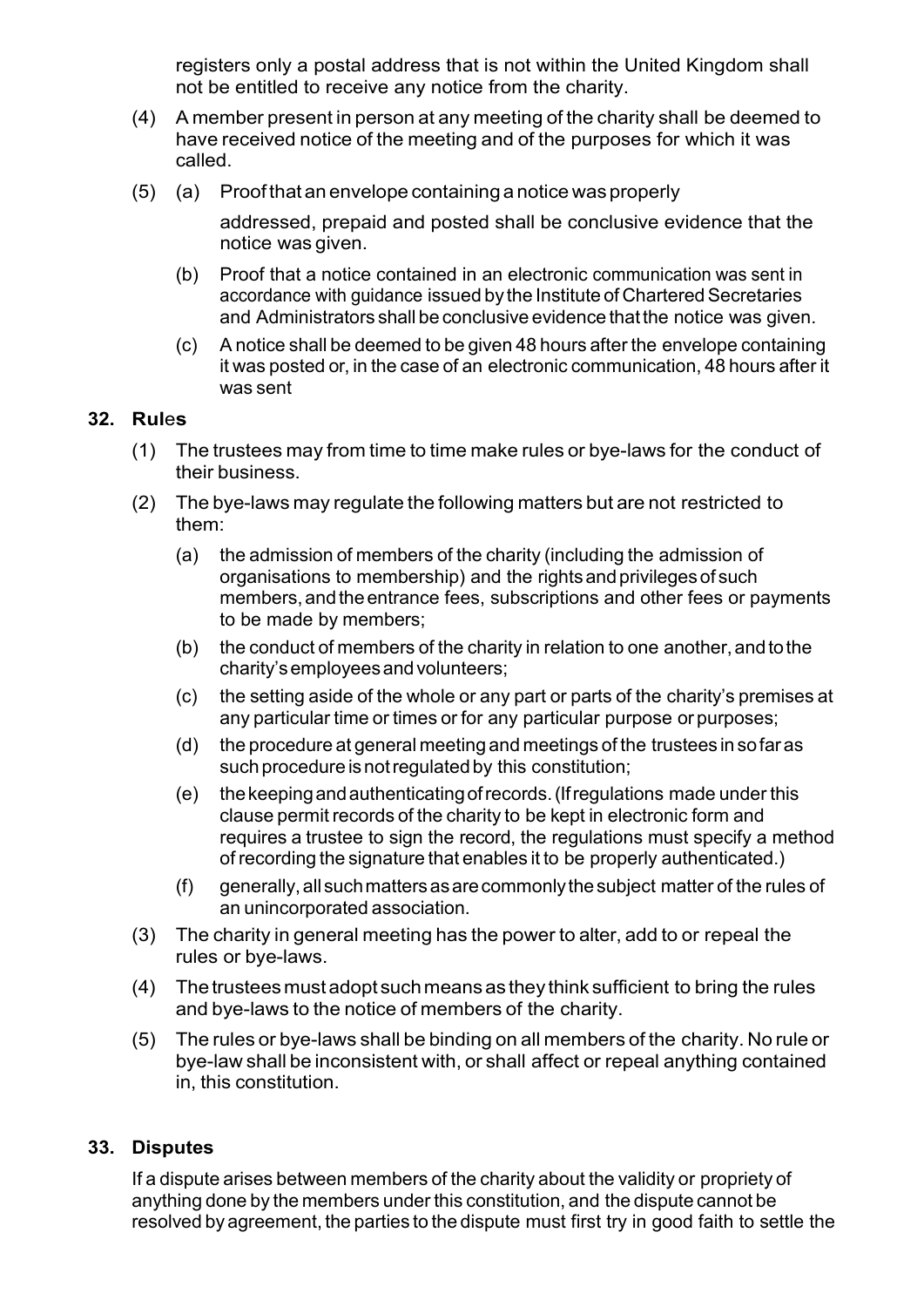registers only a postal address that is not within the United Kingdom shall not be entitled to receive any notice from the charity.

- (4) A member present in person at any meeting of the charity shall be deemed to have received notice of the meeting and of the purposes for which it was called.
- (5) (a) Proof that an envelope containing a notice was properly

addressed, prepaid and posted shall be conclusive evidence that the notice was given.

- (b) Proof that a notice contained in an electronic communication was sent in accordance with guidance issued by the Institute of Chartered Secretaries and Administrators shall be conclusive evidence that the notice was given.
- (c) A notice shall be deemed to be given 48 hours after the envelope containing it was posted or, in the case of an electronic communication, 48 hours after it was sent

#### **32. Rul**e**s**

- (1) The trustees may from time to time make rules or bye-laws for the conduct of their business.
- (2) The bye-laws may regulate the following matters but are not restricted to them:
	- (a) the admission of members of the charity (including the admission of organisations to membership) and the rightsandprivilegesof such members, and the entrance fees, subscriptions and other fees or payments to be made by members;
	- (b) the conduct of members of the charity in relation to one another, and to the charity'semployeesandvolunteers;
	- (c) the setting aside of the whole or any part or parts of the charity's premises at any particular time or times or for any particular purpose or purposes;
	- (d) the procedure at general meeting and meetings of the trustees in sofaras such procedure is not regulated by this constitution:
	- (e) thekeepingandauthenticatingofrecords.(Ifregulations made under this clause permit records of the charity to be kept in electronic form and requires a trustee to sign the record, the regulations must specify a method of recording the signature that enables it to be properly authenticated.)
	- (f) generally,all suchmattersasarecommonlythesubject matter of the rules of an unincorporated association.
- (3) The charity in general meeting has the power to alter, add to or repeal the rules or bye-laws.
- (4) Thetrusteesmust adopt suchmeansas they think sufficient to bring the rules and bye-laws to the notice of members of the charity.
- (5) The rules or bye-laws shall be binding on all members of the charity. No rule or bye-law shall be inconsistent with, or shall affect or repeal anything contained in, this constitution.

#### **33. Disputes**

If a dispute arises between members of the charity about the validity or propriety of anything done by the members under this constitution, and the dispute cannot be resolved by agreement, the parties to the dispute must first try in good faith to settle the